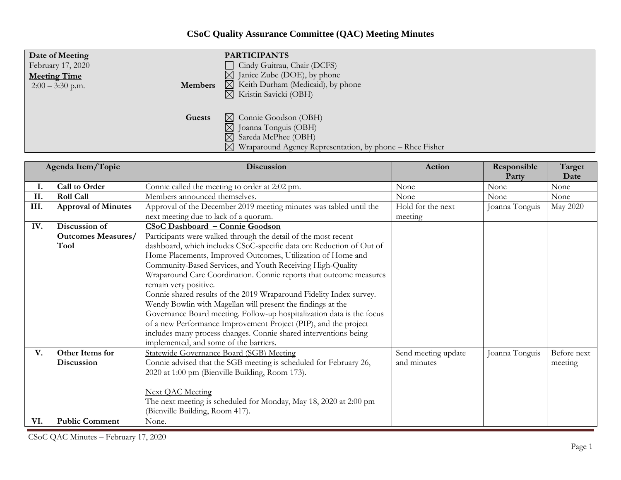## **CSoC Quality Assurance Committee (QAC) Meeting Minutes**

| Date of Meeting     | <b>PARTICIPANTS</b>                                                                                                                                                   |
|---------------------|-----------------------------------------------------------------------------------------------------------------------------------------------------------------------|
| February 17, 2020   | Cindy Guitrau, Chair (DCFS)                                                                                                                                           |
| <b>Meeting Time</b> | $\boxtimes$ Janice Zube (DOE), by phone                                                                                                                               |
| Members             | $\boxtimes$ Keith Durham (Medicaid), by phone                                                                                                                         |
| $2:00 - 3:30$ p.m.  | $\boxtimes$ Kristin Savicki (OBH)                                                                                                                                     |
| Guests              | $\boxtimes$ Connie Goodson (OBH)<br>⊠ Joanna Tonguis (OBH)<br>$\boxtimes$ Sareda McPhee (OBH)<br>$\boxtimes$ Wraparound Agency Representation, by phone – Rhee Fisher |

| Agenda Item/Topic |                            | Discussion                                                            | Action              | Responsible<br>Party | Target<br>Date |
|-------------------|----------------------------|-----------------------------------------------------------------------|---------------------|----------------------|----------------|
| Ι.                | Call to Order              | Connie called the meeting to order at 2:02 pm.                        | None                | None                 | None           |
| II.               | <b>Roll Call</b>           | Members announced themselves.                                         | None                | None                 | None           |
| III.              | <b>Approval of Minutes</b> | Approval of the December 2019 meeting minutes was tabled until the    | Hold for the next   | Joanna Tonguis       | May 2020       |
|                   |                            | next meeting due to lack of a quorum.                                 | meeting             |                      |                |
| IV.               | Discussion of              | <b>CSoC Dashboard - Connie Goodson</b>                                |                     |                      |                |
|                   | <b>Outcomes Measures/</b>  | Participants were walked through the detail of the most recent        |                     |                      |                |
|                   | <b>Tool</b>                | dashboard, which includes CSoC-specific data on: Reduction of Out of  |                     |                      |                |
|                   |                            | Home Placements, Improved Outcomes, Utilization of Home and           |                     |                      |                |
|                   |                            | Community-Based Services, and Youth Receiving High-Quality            |                     |                      |                |
|                   |                            | Wraparound Care Coordination. Connie reports that outcome measures    |                     |                      |                |
|                   |                            | remain very positive.                                                 |                     |                      |                |
|                   |                            | Connie shared results of the 2019 Wraparound Fidelity Index survey.   |                     |                      |                |
|                   |                            | Wendy Bowlin with Magellan will present the findings at the           |                     |                      |                |
|                   |                            | Governance Board meeting. Follow-up hospitalization data is the focus |                     |                      |                |
|                   |                            | of a new Performance Improvement Project (PIP), and the project       |                     |                      |                |
|                   |                            | includes many process changes. Connie shared interventions being      |                     |                      |                |
|                   |                            | implemented, and some of the barriers.                                |                     |                      |                |
| V.                | Other Items for            | Statewide Governance Board (SGB) Meeting                              | Send meeting update | Joanna Tonguis       | Before next    |
|                   | <b>Discussion</b>          | Connie advised that the SGB meeting is scheduled for February 26,     | and minutes         |                      | meeting        |
|                   |                            | 2020 at 1:00 pm (Bienville Building, Room 173).                       |                     |                      |                |
|                   |                            |                                                                       |                     |                      |                |
|                   |                            | <b>Next QAC Meeting</b>                                               |                     |                      |                |
|                   |                            | The next meeting is scheduled for Monday, May 18, 2020 at 2:00 pm     |                     |                      |                |
|                   |                            | (Bienville Building, Room 417).                                       |                     |                      |                |
| VI.               | <b>Public Comment</b>      | None.                                                                 |                     |                      |                |

CSoC QAC Minutes – February 17, 2020